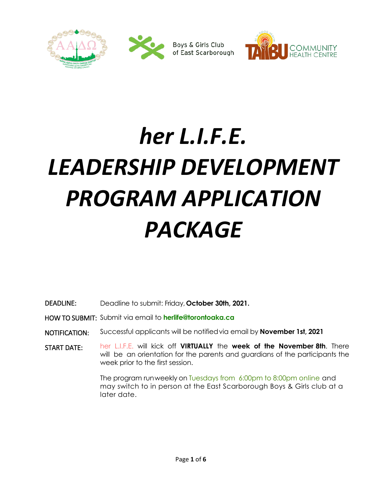

# *her L.I.F.E. LEADERSHIP DEVELOPMENT PROGRAM APPLICATION PACKAGE*

DEADLINE: Deadline to submit: Friday, **October 30th, 2021.**

HOW TO SUBMIT: Submit via email to **herlife@torontoaka.ca** 

- NOTIFICATION: Successful applicants will be notifiedvia email by **November 1st, 2021**
- START DATE: her L.I.F.E. will kick off **VIRTUALLY** the **week of the November 8th**. There will be an orientation for the parents and guardians of the participants the week prior to the first session.

The program runweekly on Tuesdays from 6:00pm to 8:00pm online and may switch to in person at the East Scarborough Boys & Girls club at a later date.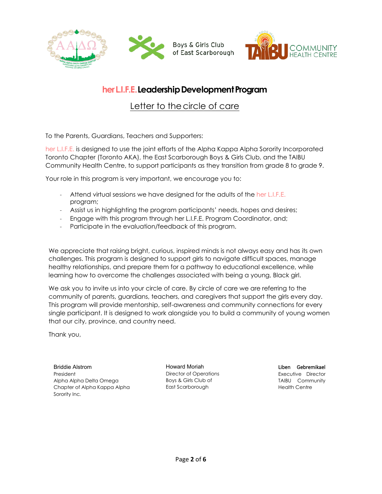



## **her L.I.F.E. Leadership Development Program**

Letter to the circle of care

To the Parents, Guardians, Teachers and Supporters:

her L.I.F.E. is designed to use the joint efforts of the Alpha Kappa Alpha Sorority Incorporated Toronto Chapter (Toronto AKA), the East Scarborough Boys & Girls Club, and the TAIBU Community Health Centre, to support participants as they transition from grade 8 to grade 9.

Your role in this program is very important, we encourage you to:

- Attend virtual sessions we have designed for the adults of the her L.I.F.E. program;
- Assist us in highlighting the program participants' needs, hopes and desires;
- Engage with this program through her L.I.F.E. Program Coordinator, and;
- Participate in the evaluation/feedback of this program.

We appreciate that raising bright, curious, inspired minds is not always easy and has its own challenges. This program is designed to support girls to navigate difficult spaces, manage healthy relationships, and prepare them for a pathway to educational excellence, while learning how to overcome the challenges associated with being a young, Black girl.

We ask you to invite us into your circle of care. By circle of care we are referring to the community of parents, guardians, teachers, and caregivers that support the girls every day. This program will provide mentorship, self-awareness and community connections for every single participant. It is designed to work alongside you to build a community of young women that our city, province, and country need.

Thank you,

Briddie Alstrom President Alpha Alpha Delta Omega Chapter of Alpha Kappa Alpha Sorority Inc*.*

Howard Moriah Director of Operations Boys & Girls Club of East Scarborough

Liben Gebremikael Executive Director TAIBU Community Health Centre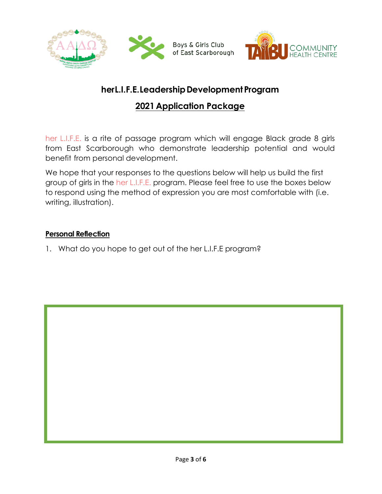

# **herL.I.F.E.LeadershipDevelopmentProgram**

# **2021 Application Package**

her L.I.F.E. is a rite of passage program which will engage Black grade 8 girls from East Scarborough who demonstrate leadership potential and would benefit from personal development.

We hope that your responses to the questions below will help us build the first group of girls in the her L.I.F.E. program. Please feel free to use the boxes below to respond using the method of expression you are most comfortable with (i.e. writing, illustration).

#### **Personal Reflection**

1. What do you hope to get out of the her L.I.F.E program?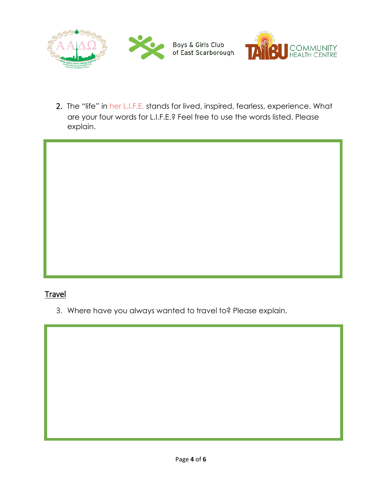

2. The "life" in her L.I.F.E. stands for lived, inspired, fearless, experience. What are your four words for L.I.F.E.? Feel free to use the words listed. Please explain.

## Travel

3. Where have you always wanted to travel to? Please explain.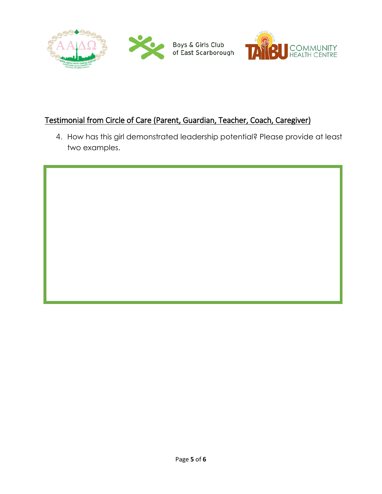



## Testimonial from Circle of Care (Parent, Guardian, Teacher, Coach, Caregiver)

4. How has this girl demonstrated leadership potential? Please provide at least two examples.